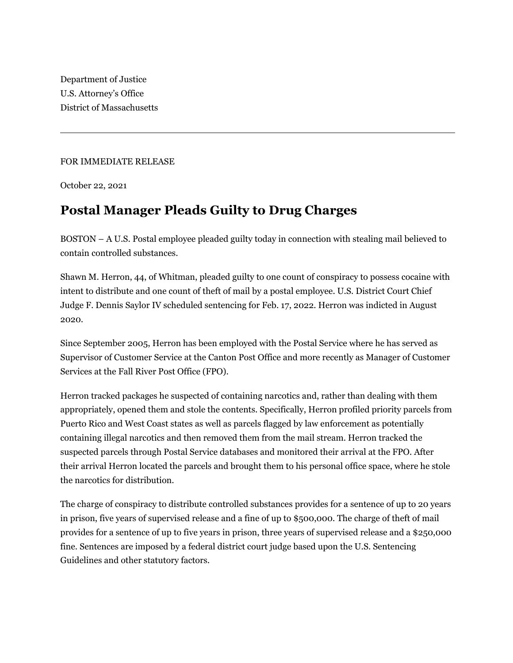Department of Justice U.S. Attorney's Office District of Massachusetts

## FOR IMMEDIATE RELEASE

October 22, 2021

## **Postal Manager Pleads Guilty to Drug Charges**

BOSTON – A U.S. Postal employee pleaded guilty today in connection with stealing mail believed to contain controlled substances.

Shawn M. Herron, 44, of Whitman, pleaded guilty to one count of conspiracy to possess cocaine with intent to distribute and one count of theft of mail by a postal employee. U.S. District Court Chief Judge F. Dennis Saylor IV scheduled sentencing for Feb. 17, 2022. Herron was indicted in August 2020.

Since September 2005, Herron has been employed with the Postal Service where he has served as Supervisor of Customer Service at the Canton Post Office and more recently as Manager of Customer Services at the Fall River Post Office (FPO).

Herron tracked packages he suspected of containing narcotics and, rather than dealing with them appropriately, opened them and stole the contents. Specifically, Herron profiled priority parcels from Puerto Rico and West Coast states as well as parcels flagged by law enforcement as potentially containing illegal narcotics and then removed them from the mail stream. Herron tracked the suspected parcels through Postal Service databases and monitored their arrival at the FPO. After their arrival Herron located the parcels and brought them to his personal office space, where he stole the narcotics for distribution.

The charge of conspiracy to distribute controlled substances provides for a sentence of up to 20 years in prison, five years of supervised release and a fine of up to \$500,000. The charge of theft of mail provides for a sentence of up to five years in prison, three years of supervised release and a \$250,000 fine. Sentences are imposed by a federal district court judge based upon the U.S. Sentencing Guidelines and other statutory factors.